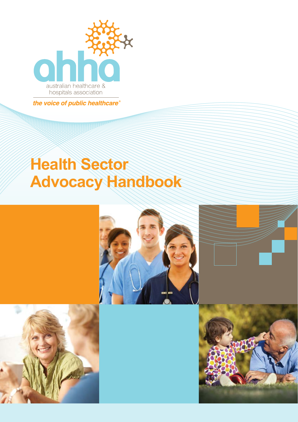

the voice of public healthcare®

# **Health Sector Advocacy Handbook**







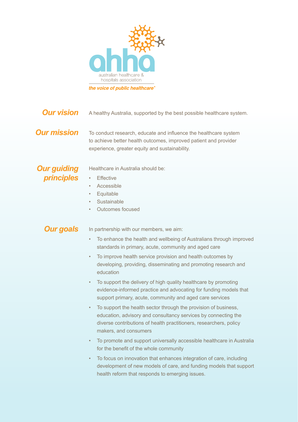<span id="page-1-0"></span>

A healthy Australia, supported by the best possible healthcare system. *Our vision*

#### *Our mission*

To conduct research, educate and influence the healthcare system to achieve better health outcomes, improved patient and provider experience, greater equity and sustainability.

#### *Our guiding principles*

Healthcare in Australia should be:

- Effective
- **Accessible**
- **Equitable**
- **Sustainable**
- Outcomes focused

#### *Our goals*

In partnership with our members, we aim:

- To enhance the health and wellbeing of Australians through improved standards in primary, acute, community and aged care
- To improve health service provision and health outcomes by developing, providing, disseminating and promoting research and education
- To support the delivery of high quality healthcare by promoting evidence-informed practice and advocating for funding models that support primary, acute, community and aged care services
- To support the health sector through the provision of business, education, advisory and consultancy services by connecting the diverse contributions of health practitioners, researchers, policy makers, and consumers
- To promote and support universally accessible healthcare in Australia for the benefit of the whole community
- To focus on innovation that enhances integration of care, including development of new models of care, and funding models that support health reform that responds to emerging issues.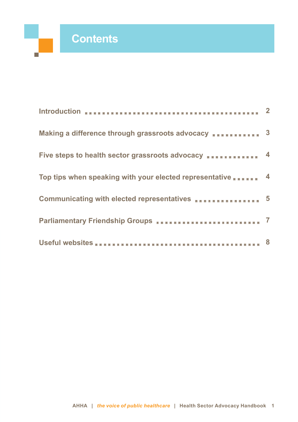п

| Introduction <b>EXECUTES INTERNATIONAL EXECUTIVE CONTRACTOR 2</b>                                                                                                              |  |
|--------------------------------------------------------------------------------------------------------------------------------------------------------------------------------|--|
| Making a difference through grassroots advocacy  3                                                                                                                             |  |
| Five steps to health sector grassroots advocacy <b>FISH 1988</b> 4                                                                                                             |  |
| Top tips when speaking with your elected representative  4                                                                                                                     |  |
| Communicating with elected representatives <b>FISH AT ADDER</b> 5                                                                                                              |  |
| Parliamentary Friendship Groups <b>FILM FILM FILM FILM FILM FILM FILM FILM FILM FILM FILM FILM FILM FILM FILM FILM FILM FILM FILM FILM FILM FILM FILM FILM FILM FILM FILM </b> |  |
|                                                                                                                                                                                |  |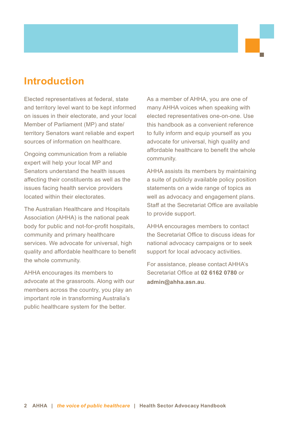### **Introduction**

Elected representatives at federal, state and territory level want to be kept informed on issues in their electorate, and your local Member of Parliament (MP) and state/ territory Senators want reliable and expert sources of information on healthcare.

Ongoing communication from a reliable expert will help your local MP and Senators understand the health issues affecting their constituents as well as the issues facing health service providers located within their electorates.

The Australian Healthcare and Hospitals Association (AHHA) is the national peak body for public and not-for-profit hospitals, community and primary healthcare services. We advocate for universal, high quality and affordable healthcare to benefit the whole community.

AHHA encourages its members to advocate at the grassroots. Along with our members across the country, you play an important role in transforming Australia's public healthcare system for the better.

As a member of AHHA, you are one of many AHHA voices when speaking with elected representatives one-on-one. Use this handbook as a convenient reference to fully inform and equip yourself as you advocate for universal, high quality and affordable healthcare to benefit the whole community.

AHHA assists its members by maintaining a suite of publicly available policy position statements on a wide range of topics as well as advocacy and engagement plans. Staff at the Secretariat Office are available to provide support.

AHHA encourages members to contact the Secretariat Office to discuss ideas for national advocacy campaigns or to seek support for local advocacy activities.

For assistance, please contact AHHA's Secretariat Office at **02 6162 0780** or **[admin@ahha.asn.au](mailto:admin@ahha.asn.au)**.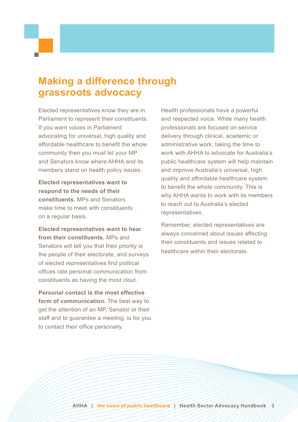## <span id="page-4-0"></span>**Making a difference through grassroots advocacy**

Elected representatives know they are in Parliament to represent their constituents. If you want voices in Parliament advocating for universal, high quality and affordable healthcare to benefit the whole community then you must let your MP and Senators know where AHHA and its members stand on health policy issues.

**Elected representatives want to respond to the needs of their constituents.** MPs and Senators make time to meet with constituents on a regular basis.

**Elected representatives want to hear from their constituents.** MPs and Senators will tell you that their priority is the people of their electorate, and surveys of elected representatives find political offices rate personal communication from constituents as having the most clout.

**Personal contact is the most effective form of communication.** The best way to get the attention of an MP, Senator or their staff and to guarantee a meeting, is for you to contact their office personally.

Health professionals have a powerful and respected voice. While many health professionals are focused on service delivery through clinical, academic or administrative work, taking the time to work with AHHA to advocate for Australia's public healthcare system will help maintain and improve Australia's universal, high quality and affordable healthcare system to benefit the whole community. This is why AHHA wants to work with its members to reach out to Australia's elected representatives.

Remember, elected representatives are always concerned about issues affecting their constituents and issues related to healthcare within their electorate.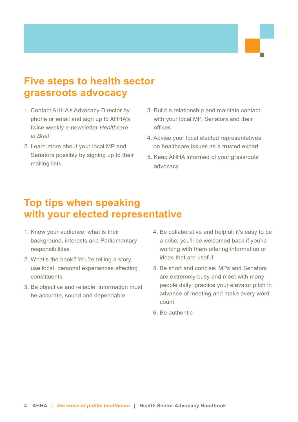# <span id="page-5-0"></span>**Five steps to health sector grassroots advocacy**

- 1. Contact AHHA's Advocacy Director by phone or email and sign up to AHHA's twice weekly e-newsletter *Healthcare in Brief*
- 2. Learn more about your local MP and Senators possibly by signing up to their mailing lists
- 3. Build a relationship and maintain contact with your local MP, Senators and their offices
- 4. Advise your local elected representatives on healthcare issues as a trusted expert
- 5. Keep AHHA informed of your grassroots advocacy

# **Top tips when speaking with your elected representative**

- 1. Know your audience: what is their background, interests and Parliamentary responsibilities
- 2. What's the hook? You're telling a story; use local, personal experiences affecting constituents
- 3. Be objective and reliable: information must be accurate, sound and dependable
- 4. Be collaborative and helpful: it's easy to be a critic; you'll be welcomed back if you're working with them offering information or ideas that are useful
- 5. Be short and concise: MPs and Senators are extremely busy and meet with many people daily; practice your elevator pitch in advance of meeting and make every word count
- 6. Be authentic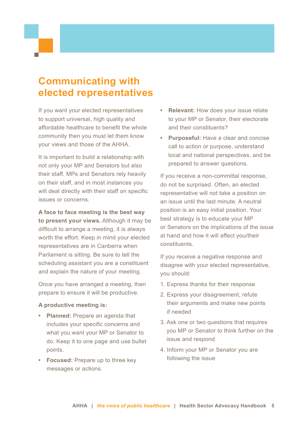# <span id="page-6-0"></span>**Communicating with elected representatives**

If you want your elected representatives to support universal, high quality and affordable healthcare to benefit the whole community then you must let them know your views and those of the AHHA.

It is important to build a relationship with not only your MP and Senators but also their staff. MPs and Senators rely heavily on their staff, and in most instances you will deal directly with their staff on specific issues or concerns.

**A face to face meeting is the best way to present your views.** Although it may be difficult to arrange a meeting, it is always worth the effort. Keep in mind your elected representatives are in Canberra when Parliament is sitting. Be sure to tell the scheduling assistant you are a constituent and explain the nature of your meeting.

Once you have arranged a meeting, then prepare to ensure it will be productive.

#### **A productive meeting is:**

- **• Planned:** Prepare an agenda that includes your specific concerns and what you want your MP or Senator to do. Keep it to one page and use bullet points.
- **• Focused:** Prepare up to three key messages or actions.
- **• Relevant:** How does your issue relate to your MP or Senator, their electorate and their constituents?
- **• Purposeful:** Have a clear and concise call to action or purpose, understand local and national perspectives, and be prepared to answer questions.

If you receive a non-committal response, do not be surprised. Often, an elected representative will not take a position on an issue until the last minute. A neutral position is an easy initial position. Your best strategy is to educate your MP or Senators on the implications of the issue at hand and how it will affect you/their constituents.

If you receive a negative response and disagree with your elected representative, you should:

- 1. Express thanks for their response
- 2. Express your disagreement, refute their arguments and make new points if needed
- 3. Ask one or two questions that requires you MP or Senator to think further on the issue and respond
- 4. Inform your MP or Senator you are following the issue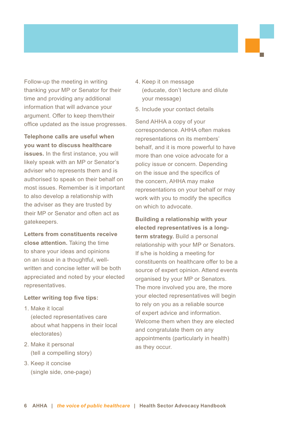Follow-up the meeting in writing thanking your MP or Senator for their time and providing any additional information that will advance your argument. Offer to keep them/their office updated as the issue progresses.

**Telephone calls are useful when you want to discuss healthcare** 

**issues.** In the first instance, you will likely speak with an MP or Senator's adviser who represents them and is authorised to speak on their behalf on most issues. Remember is it important to also develop a relationship with the adviser as they are trusted by their MP or Senator and often act as gatekeepers.

**Letters from constituents receive close attention.** Taking the time to share your ideas and opinions on an issue in a thoughtful, wellwritten and concise letter will be both appreciated and noted by your elected representatives.

#### **Letter writing top five tips:**

- 1. Make it local (elected representatives care about what happens in their local electorates)
- 2. Make it personal (tell a compelling story)
- 3. Keep it concise (single side, one-page)
- 4. Keep it on message (educate, don't lecture and dilute your message)
- 5. Include your contact details

Send AHHA a copy of your correspondence. AHHA often makes representations on its members' behalf, and it is more powerful to have more than one voice advocate for a policy issue or concern. Depending on the issue and the specifics of the concern, AHHA may make representations on your behalf or may work with you to modify the specifics on which to advocate.

**Building a relationship with your elected representatives is a longterm strategy.** Build a personal relationship with your MP or Senators. If s/he is holding a meeting for constituents on healthcare offer to be a source of expert opinion. Attend events organised by your MP or Senators. The more involved you are, the more your elected representatives will begin to rely on you as a reliable source of expert advice and information. Welcome them when they are elected and congratulate them on any appointments (particularly in health) as they occur.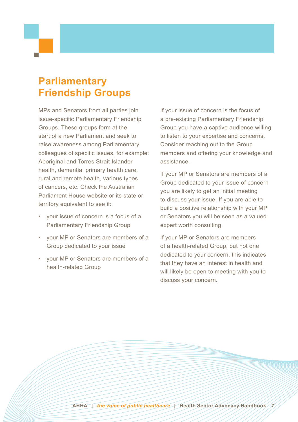# <span id="page-8-0"></span>**Parliamentary Friendship Groups**

MPs and Senators from all parties join issue-specific Parliamentary Friendship Groups. These groups form at the start of a new Parliament and seek to raise awareness among Parliamentary colleagues of specific issues, for example: Aboriginal and Torres Strait Islander health, dementia, primary health care, rural and remote health, various types of cancers, etc. Check the Australian Parliament House website or its state or territory equivalent to see if:

- your issue of concern is a focus of a Parliamentary Friendship Group
- your MP or Senators are members of a Group dedicated to your issue
- your MP or Senators are members of a health-related Group

If your issue of concern is the focus of a pre-existing Parliamentary Friendship Group you have a captive audience willing to listen to your expertise and concerns. Consider reaching out to the Group members and offering your knowledge and assistance.

If your MP or Senators are members of a Group dedicated to your issue of concern you are likely to get an initial meeting to discuss your issue. If you are able to build a positive relationship with your MP or Senators you will be seen as a valued expert worth consulting.

If your MP or Senators are members of a health-related Group, but not one dedicated to your concern, this indicates that they have an interest in health and will likely be open to meeting with you to discuss your concern.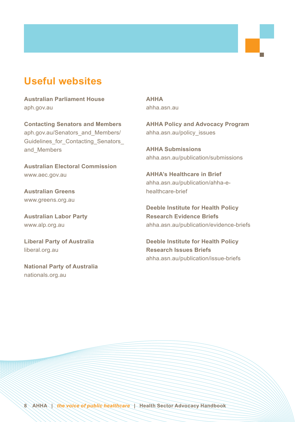### <span id="page-9-0"></span>**Useful websites**

**Australian Parliament House** [aph.gov.au](http://aph.gov.au)

**Contacting Senators and Members** [aph.gov.au/Senators\\_and\\_Members/](http://aph.gov.au/Senators_and_Members/Guidelines_for_Contacting_Senators_
and_Members) Guidelines for Contacting Senators [and\\_Members](http://aph.gov.au/Senators_and_Members/Guidelines_for_Contacting_Senators_
and_Members)

**Australian Electoral Commission** [www.aec.gov.au](http://www.aec.gov.au)

**Australian Greens** [www.greens.org.au](http://www.greens.org.au)

**Australian Labor Party** [www.alp.org.au](http://www.alp.org.au)

**Liberal Party of Australia** [liberal.org.au](http://liberal.org.au)

**National Party of Australia** [nationals.org.au](http://nationals.org.au)

**AHHA** [ahha.asn.au](http://ahha.asn.au)

**AHHA Policy and Advocacy Program** [ahha.asn.au/policy](http://ahha.asn.au/policy_issues)\_issues

**AHHA Submissions** [ahha.asn.au/publication/submissions](http://ahha.asn.au/publication/submissions)

**AHHA's Healthcare in Brief** [ahha.asn.au/publication/ahha-](http://ahha.asn.au/publication/ahha-e-healthcare-brief)ehealthcare-brief

**Deeble Institute for Health Policy Research Evidence Briefs** [ahha.asn.au/publication/evidence-](http://ahha.asn.au/publication/evidence-briefs)briefs

**Deeble Institute for Health Policy Research Issues Briefs** [ahha.asn.au/publication/issue-](http://ahha.asn.au/publication/issue-briefs)briefs

**8****AHHA** *| the voice of public healthcare |* **Health Sector Advocacy Handbook**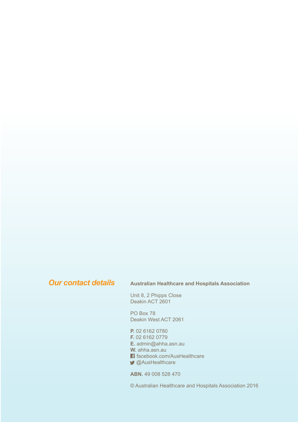#### *Our contact details*

#### **Australian Healthcare and Hospitals Association**

Unit 8, 2 Phipps Close Deakin ACT 2601

PO Box 78 Deakin West ACT 2061

**P.** 02 6162 0780

**F.** 02 6162 0779

**E.** [admin@ahha.asn.au](mailto:admin%40ahha.asn.au?subject=) **W.** [ahha.asn.au](http://ahha.asn.au)

**f** facebook.com/AusHealthcare

**@AusHealthcare** 

**ABN.** 49 008 528 470

© Australian Healthcare and Hospitals Association 2016